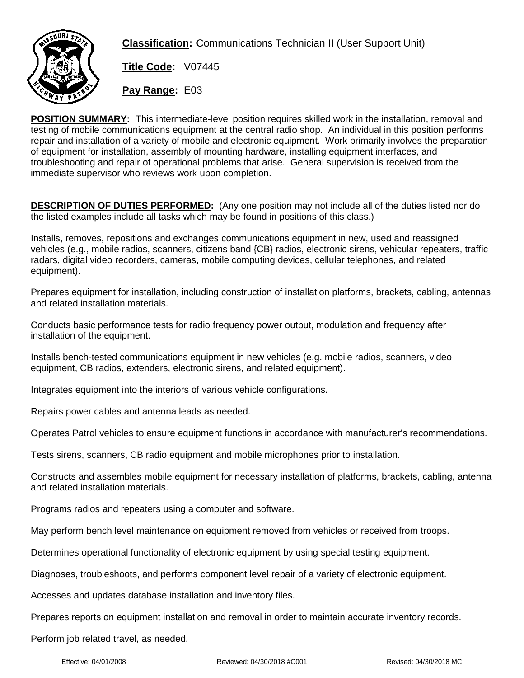

**Classification:** Communications Technician II (User Support Unit)

**Title Code:** V07445

**Pay Range:** E03

**POSITION SUMMARY:** This intermediate-level position requires skilled work in the installation, removal and testing of mobile communications equipment at the central radio shop. An individual in this position performs repair and installation of a variety of mobile and electronic equipment. Work primarily involves the preparation of equipment for installation, assembly of mounting hardware, installing equipment interfaces, and troubleshooting and repair of operational problems that arise. General supervision is received from the immediate supervisor who reviews work upon completion.

**DESCRIPTION OF DUTIES PERFORMED:** (Any one position may not include all of the duties listed nor do the listed examples include all tasks which may be found in positions of this class.)

Installs, removes, repositions and exchanges communications equipment in new, used and reassigned vehicles (e.g., mobile radios, scanners, citizens band {CB} radios, electronic sirens, vehicular repeaters, traffic radars, digital video recorders, cameras, mobile computing devices, cellular telephones, and related equipment).

Prepares equipment for installation, including construction of installation platforms, brackets, cabling, antennas and related installation materials.

Conducts basic performance tests for radio frequency power output, modulation and frequency after installation of the equipment.

Installs bench-tested communications equipment in new vehicles (e.g. mobile radios, scanners, video equipment, CB radios, extenders, electronic sirens, and related equipment).

Integrates equipment into the interiors of various vehicle configurations.

Repairs power cables and antenna leads as needed.

Operates Patrol vehicles to ensure equipment functions in accordance with manufacturer's recommendations.

Tests sirens, scanners, CB radio equipment and mobile microphones prior to installation.

Constructs and assembles mobile equipment for necessary installation of platforms, brackets, cabling, antenna and related installation materials.

Programs radios and repeaters using a computer and software.

May perform bench level maintenance on equipment removed from vehicles or received from troops.

Determines operational functionality of electronic equipment by using special testing equipment.

Diagnoses, troubleshoots, and performs component level repair of a variety of electronic equipment.

Accesses and updates database installation and inventory files.

Prepares reports on equipment installation and removal in order to maintain accurate inventory records.

Perform job related travel, as needed.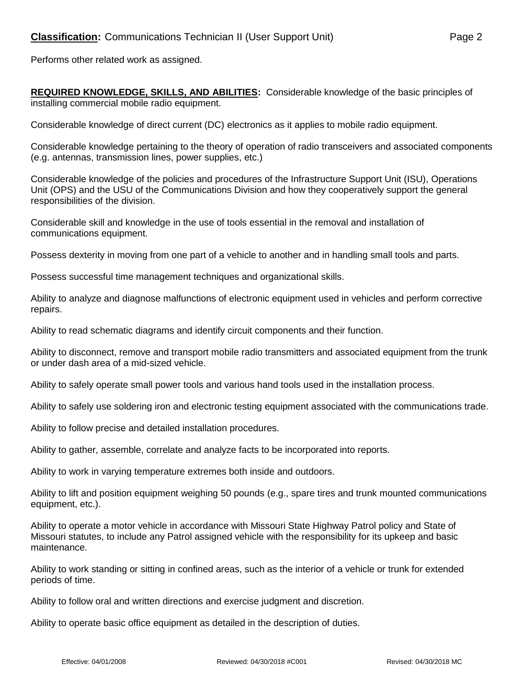Performs other related work as assigned.

**REQUIRED KNOWLEDGE, SKILLS, AND ABILITIES:** Considerable knowledge of the basic principles of installing commercial mobile radio equipment.

Considerable knowledge of direct current (DC) electronics as it applies to mobile radio equipment.

Considerable knowledge pertaining to the theory of operation of radio transceivers and associated components (e.g. antennas, transmission lines, power supplies, etc.)

Considerable knowledge of the policies and procedures of the Infrastructure Support Unit (ISU), Operations Unit (OPS) and the USU of the Communications Division and how they cooperatively support the general responsibilities of the division.

Considerable skill and knowledge in the use of tools essential in the removal and installation of communications equipment.

Possess dexterity in moving from one part of a vehicle to another and in handling small tools and parts.

Possess successful time management techniques and organizational skills.

Ability to analyze and diagnose malfunctions of electronic equipment used in vehicles and perform corrective repairs.

Ability to read schematic diagrams and identify circuit components and their function.

Ability to disconnect, remove and transport mobile radio transmitters and associated equipment from the trunk or under dash area of a mid-sized vehicle.

Ability to safely operate small power tools and various hand tools used in the installation process.

Ability to safely use soldering iron and electronic testing equipment associated with the communications trade.

Ability to follow precise and detailed installation procedures.

Ability to gather, assemble, correlate and analyze facts to be incorporated into reports.

Ability to work in varying temperature extremes both inside and outdoors.

Ability to lift and position equipment weighing 50 pounds (e.g., spare tires and trunk mounted communications equipment, etc.).

Ability to operate a motor vehicle in accordance with Missouri State Highway Patrol policy and State of Missouri statutes, to include any Patrol assigned vehicle with the responsibility for its upkeep and basic maintenance.

Ability to work standing or sitting in confined areas, such as the interior of a vehicle or trunk for extended periods of time.

Ability to follow oral and written directions and exercise judgment and discretion.

Ability to operate basic office equipment as detailed in the description of duties.